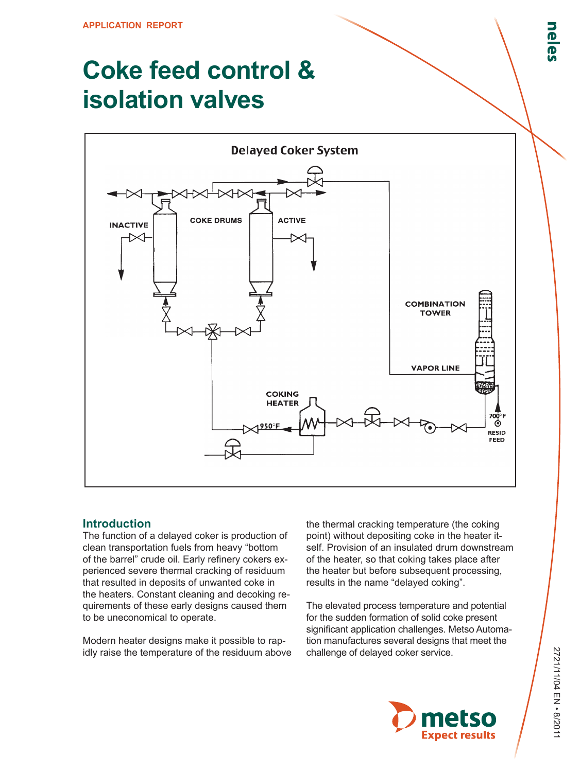# **Coke feed control & isolation valves**



## **Introduction**

The function of a delayed coker is production of clean transportation fuels from heavy "bottom of the barrel" crude oil. Early refinery cokers experienced severe thermal cracking of residuum that resulted in deposits of unwanted coke in the heaters. Constant cleaning and decoking requirements of these early designs caused them to be uneconomical to operate.

Modern heater designs make it possible to rapidly raise the temperature of the residuum above the thermal cracking temperature (the coking point) without depositing coke in the heater itself. Provision of an insulated drum downstream of the heater, so that coking takes place after the heater but before subsequent processing, results in the name "delayed coking".

The elevated process temperature and potential for the sudden formation of solid coke present significant application challenges. Metso Automation manufactures several designs that meet the challenge of delayed coker service.